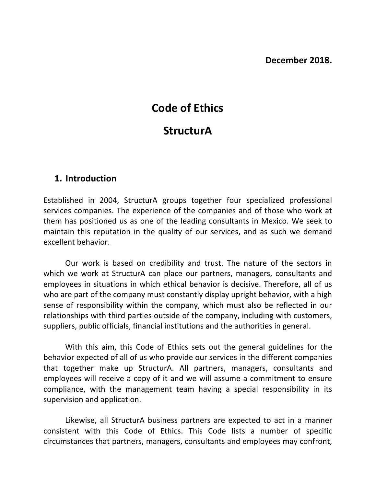# **Code of Ethics**

# **StructurA**

# **1. Introduction**

Established in 2004, StructurA groups together four specialized professional services companies. The experience of the companies and of those who work at them has positioned us as one of the leading consultants in Mexico. We seek to maintain this reputation in the quality of our services, and as such we demand excellent behavior.

Our work is based on credibility and trust. The nature of the sectors in which we work at StructurA can place our partners, managers, consultants and employees in situations in which ethical behavior is decisive. Therefore, all of us who are part of the company must constantly display upright behavior, with a high sense of responsibility within the company, which must also be reflected in our relationships with third parties outside of the company, including with customers, suppliers, public officials, financial institutions and the authorities in general.

With this aim, this Code of Ethics sets out the general guidelines for the behavior expected of all of us who provide our services in the different companies that together make up StructurA. All partners, managers, consultants and employees will receive a copy of it and we will assume a commitment to ensure compliance, with the management team having a special responsibility in its supervision and application.

Likewise, all StructurA business partners are expected to act in a manner consistent with this Code of Ethics. This Code lists a number of specific circumstances that partners, managers, consultants and employees may confront,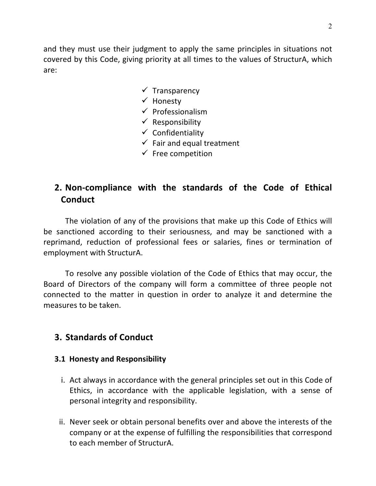and they must use their judgment to apply the same principles in situations not covered by this Code, giving priority at all times to the values of StructurA, which are:

- $\checkmark$  Transparency
- $\checkmark$  Honesty
- $\checkmark$  Professionalism
- $\checkmark$  Responsibility
- $\checkmark$  Confidentiality
- $\checkmark$  Fair and equal treatment
- $\checkmark$  Free competition

# **2. Non-compliance with the standards of the Code of Ethical Conduct**

The violation of any of the provisions that make up this Code of Ethics will be sanctioned according to their seriousness, and may be sanctioned with a reprimand, reduction of professional fees or salaries, fines or termination of employment with StructurA.

To resolve any possible violation of the Code of Ethics that may occur, the Board of Directors of the company will form a committee of three people not connected to the matter in question in order to analyze it and determine the measures to be taken.

# **3. Standards of Conduct**

#### **3.1 Honesty and Responsibility**

- i. Act always in accordance with the general principles set out in this Code of Ethics, in accordance with the applicable legislation, with a sense of personal integrity and responsibility.
- ii. Never seek or obtain personal benefits over and above the interests of the company or at the expense of fulfilling the responsibilities that correspond to each member of StructurA.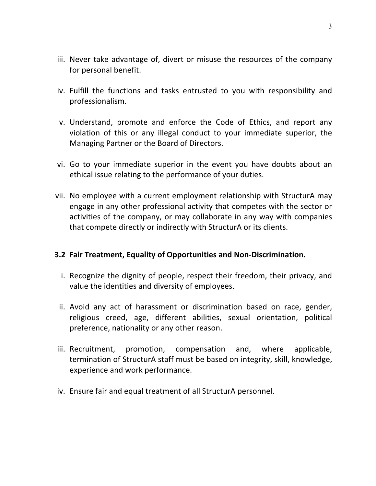- iii. Never take advantage of, divert or misuse the resources of the company for personal benefit.
- iv. Fulfill the functions and tasks entrusted to you with responsibility and professionalism.
- v. Understand, promote and enforce the Code of Ethics, and report any violation of this or any illegal conduct to your immediate superior, the Managing Partner or the Board of Directors.
- vi. Go to your immediate superior in the event you have doubts about an ethical issue relating to the performance of your duties.
- vii. No employee with a current employment relationship with StructurA may engage in any other professional activity that competes with the sector or activities of the company, or may collaborate in any way with companies that compete directly or indirectly with StructurA or its clients.

## **3.2 Fair Treatment, Equality of Opportunities and Non-Discrimination.**

- i. Recognize the dignity of people, respect their freedom, their privacy, and value the identities and diversity of employees.
- ii. Avoid any act of harassment or discrimination based on race, gender, religious creed, age, different abilities, sexual orientation, political preference, nationality or any other reason.
- iii. Recruitment, promotion, compensation and, where applicable, termination of StructurA staff must be based on integrity, skill, knowledge, experience and work performance.
- iv. Ensure fair and equal treatment of all StructurA personnel.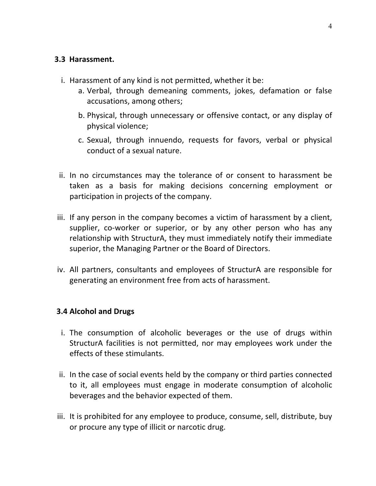#### **3.3 Harassment.**

- i. Harassment of any kind is not permitted, whether it be:
	- a. Verbal, through demeaning comments, jokes, defamation or false accusations, among others;
	- b. Physical, through unnecessary or offensive contact, or any display of physical violence;
	- c. Sexual, through innuendo, requests for favors, verbal or physical conduct of a sexual nature.
- ii. In no circumstances may the tolerance of or consent to harassment be taken as a basis for making decisions concerning employment or participation in projects of the company.
- iii. If any person in the company becomes a victim of harassment by a client, supplier, co-worker or superior, or by any other person who has any relationship with StructurA, they must immediately notify their immediate superior, the Managing Partner or the Board of Directors.
- iv. All partners, consultants and employees of StructurA are responsible for generating an environment free from acts of harassment.

#### **3.4 Alcohol and Drugs**

- i. The consumption of alcoholic beverages or the use of drugs within StructurA facilities is not permitted, nor may employees work under the effects of these stimulants.
- ii. In the case of social events held by the company or third parties connected to it, all employees must engage in moderate consumption of alcoholic beverages and the behavior expected of them.
- iii. It is prohibited for any employee to produce, consume, sell, distribute, buy or procure any type of illicit or narcotic drug.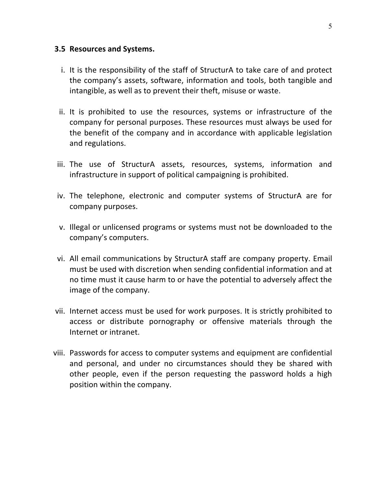#### **3.5 Resources and Systems.**

- i. It is the responsibility of the staff of StructurA to take care of and protect the company's assets, software, information and tools, both tangible and intangible, as well as to prevent their theft, misuse or waste.
- ii. It is prohibited to use the resources, systems or infrastructure of the company for personal purposes. These resources must always be used for the benefit of the company and in accordance with applicable legislation and regulations.
- iii. The use of StructurA assets, resources, systems, information and infrastructure in support of political campaigning is prohibited.
- iv. The telephone, electronic and computer systems of StructurA are for company purposes.
- v. Illegal or unlicensed programs or systems must not be downloaded to the company's computers.
- vi. All email communications by StructurA staff are company property. Email must be used with discretion when sending confidential information and at no time must it cause harm to or have the potential to adversely affect the image of the company.
- vii. Internet access must be used for work purposes. It is strictly prohibited to access or distribute pornography or offensive materials through the Internet or intranet.
- viii. Passwords for access to computer systems and equipment are confidential and personal, and under no circumstances should they be shared with other people, even if the person requesting the password holds a high position within the company.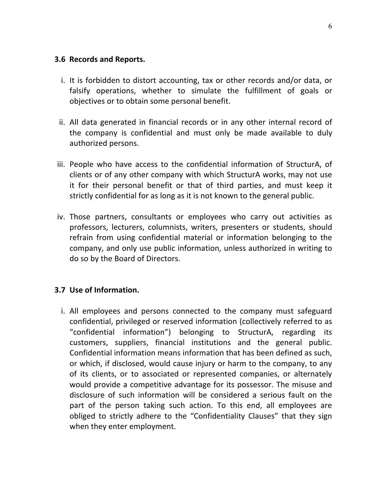#### **3.6 Records and Reports.**

- i. It is forbidden to distort accounting, tax or other records and/or data, or falsify operations, whether to simulate the fulfillment of goals or objectives or to obtain some personal benefit.
- ii. All data generated in financial records or in any other internal record of the company is confidential and must only be made available to duly authorized persons.
- iii. People who have access to the confidential information of StructurA, of clients or of any other company with which StructurA works, may not use it for their personal benefit or that of third parties, and must keep it strictly confidential for as long as it is not known to the general public.
- iv. Those partners, consultants or employees who carry out activities as professors, lecturers, columnists, writers, presenters or students, should refrain from using confidential material or information belonging to the company, and only use public information, unless authorized in writing to do so by the Board of Directors.

#### **3.7 Use of Information.**

i. All employees and persons connected to the company must safeguard confidential, privileged or reserved information (collectively referred to as "confidential information") belonging to StructurA, regarding its customers, suppliers, financial institutions and the general public. Confidential information means information that has been defined as such, or which, if disclosed, would cause injury or harm to the company, to any of its clients, or to associated or represented companies, or alternately would provide a competitive advantage for its possessor. The misuse and disclosure of such information will be considered a serious fault on the part of the person taking such action. To this end, all employees are obliged to strictly adhere to the "Confidentiality Clauses" that they sign when they enter employment.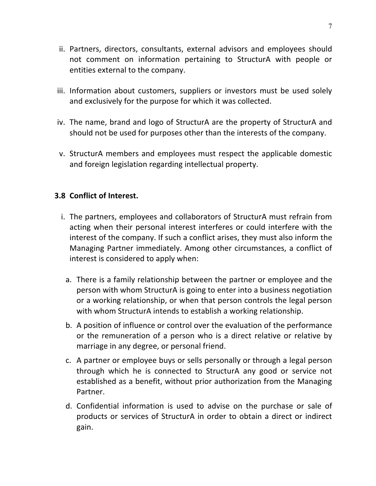- ii. Partners, directors, consultants, external advisors and employees should not comment on information pertaining to StructurA with people or entities external to the company.
- iii. Information about customers, suppliers or investors must be used solely and exclusively for the purpose for which it was collected.
- iv. The name, brand and logo of StructurA are the property of StructurA and should not be used for purposes other than the interests of the company.
- v. StructurA members and employees must respect the applicable domestic and foreign legislation regarding intellectual property.

## **3.8 Conflict of Interest.**

- i. The partners, employees and collaborators of StructurA must refrain from acting when their personal interest interferes or could interfere with the interest of the company. If such a conflict arises, they must also inform the Managing Partner immediately. Among other circumstances, a conflict of interest is considered to apply when:
	- a. There is a family relationship between the partner or employee and the person with whom StructurA is going to enter into a business negotiation or a working relationship, or when that person controls the legal person with whom StructurA intends to establish a working relationship.
	- b. A position of influence or control over the evaluation of the performance or the remuneration of a person who is a direct relative or relative by marriage in any degree, or personal friend.
	- c. A partner or employee buys or sells personally or through a legal person through which he is connected to StructurA any good or service not established as a benefit, without prior authorization from the Managing Partner.
	- d. Confidential information is used to advise on the purchase or sale of products or services of StructurA in order to obtain a direct or indirect gain.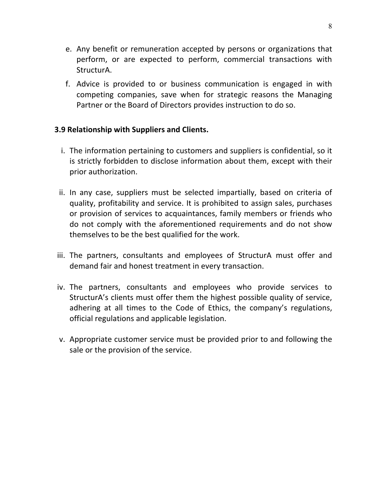- e. Any benefit or remuneration accepted by persons or organizations that perform, or are expected to perform, commercial transactions with StructurA.
- f. Advice is provided to or business communication is engaged in with competing companies, save when for strategic reasons the Managing Partner or the Board of Directors provides instruction to do so.

## **3.9 Relationship with Suppliers and Clients.**

- i. The information pertaining to customers and suppliers is confidential, so it is strictly forbidden to disclose information about them, except with their prior authorization.
- ii. In any case, suppliers must be selected impartially, based on criteria of quality, profitability and service. It is prohibited to assign sales, purchases or provision of services to acquaintances, family members or friends who do not comply with the aforementioned requirements and do not show themselves to be the best qualified for the work.
- iii. The partners, consultants and employees of StructurA must offer and demand fair and honest treatment in every transaction.
- iv. The partners, consultants and employees who provide services to StructurA's clients must offer them the highest possible quality of service, adhering at all times to the Code of Ethics, the company's regulations, official regulations and applicable legislation.
- v. Appropriate customer service must be provided prior to and following the sale or the provision of the service.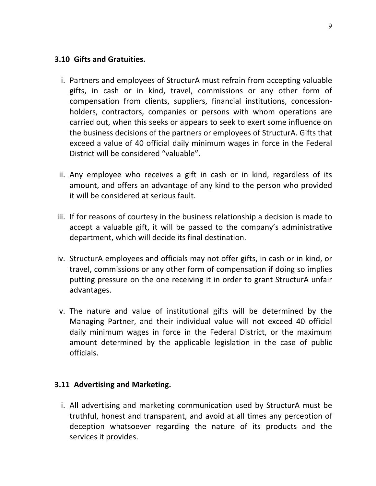## **3.10 Gifts and Gratuities.**

- i. Partners and employees of StructurA must refrain from accepting valuable gifts, in cash or in kind, travel, commissions or any other form of compensation from clients, suppliers, financial institutions, concessionholders, contractors, companies or persons with whom operations are carried out, when this seeks or appears to seek to exert some influence on the business decisions of the partners or employees of StructurA. Gifts that exceed a value of 40 official daily minimum wages in force in the Federal District will be considered "valuable".
- ii. Any employee who receives a gift in cash or in kind, regardless of its amount, and offers an advantage of any kind to the person who provided it will be considered at serious fault.
- iii. If for reasons of courtesy in the business relationship a decision is made to accept a valuable gift, it will be passed to the company's administrative department, which will decide its final destination.
- iv. StructurA employees and officials may not offer gifts, in cash or in kind, or travel, commissions or any other form of compensation if doing so implies putting pressure on the one receiving it in order to grant StructurA unfair advantages.
- v. The nature and value of institutional gifts will be determined by the Managing Partner, and their individual value will not exceed 40 official daily minimum wages in force in the Federal District, or the maximum amount determined by the applicable legislation in the case of public officials.

## **3.11 Advertising and Marketing.**

i. All advertising and marketing communication used by StructurA must be truthful, honest and transparent, and avoid at all times any perception of deception whatsoever regarding the nature of its products and the services it provides.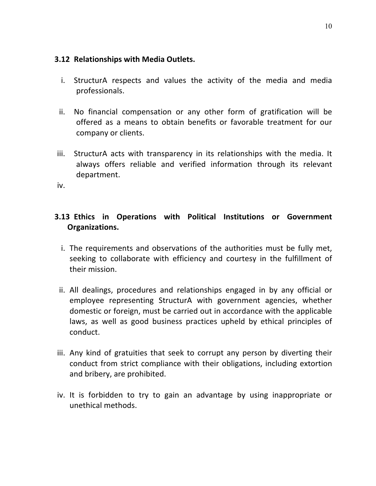## **3.12 Relationships with Media Outlets.**

- i. StructurA respects and values the activity of the media and media professionals.
- ii. No financial compensation or any other form of gratification will be offered as a means to obtain benefits or favorable treatment for our company or clients.
- iii. StructurA acts with transparency in its relationships with the media. It always offers reliable and verified information through its relevant department.

iv.

# **3.13 Ethics in Operations with Political Institutions or Government Organizations.**

- i. The requirements and observations of the authorities must be fully met, seeking to collaborate with efficiency and courtesy in the fulfillment of their mission.
- ii. All dealings, procedures and relationships engaged in by any official or employee representing StructurA with government agencies, whether domestic or foreign, must be carried out in accordance with the applicable laws, as well as good business practices upheld by ethical principles of conduct.
- iii. Any kind of gratuities that seek to corrupt any person by diverting their conduct from strict compliance with their obligations, including extortion and bribery, are prohibited.
- iv. It is forbidden to try to gain an advantage by using inappropriate or unethical methods.